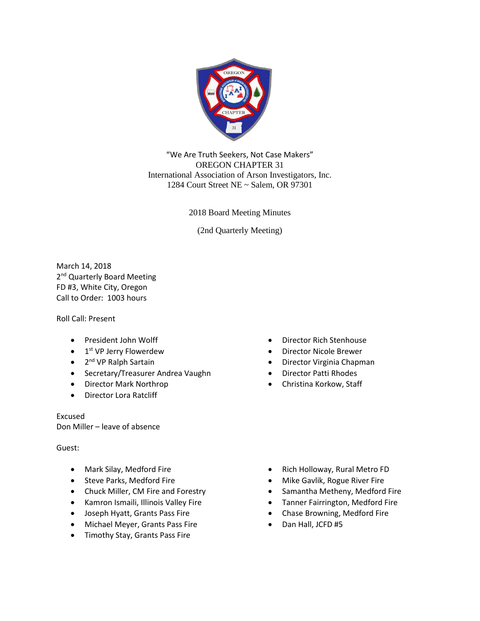

"We Are Truth Seekers, Not Case Makers" OREGON CHAPTER 31 International Association of Arson Investigators, Inc. 1284 Court Street NE ~ Salem, OR 97301

2018 Board Meeting Minutes

(2nd Quarterly Meeting)

March 14, 2018 2<sup>nd</sup> Quarterly Board Meeting FD #3, White City, Oregon Call to Order: 1003 hours

Roll Call: Present

- President John Wolff
- 1<sup>st</sup> VP Jerry Flowerdew
- 2<sup>nd</sup> VP Ralph Sartain
- Secretary/Treasurer Andrea Vaughn
- Director Mark Northrop
- Director Lora Ratcliff

Excused Don Miller – leave of absence

Guest:

- Mark Silay, Medford Fire
- Steve Parks, Medford Fire
- Chuck Miller, CM Fire and Forestry
- Kamron Ismaili, Illinois Valley Fire
- Joseph Hyatt, Grants Pass Fire
- Michael Meyer, Grants Pass Fire
- Timothy Stay, Grants Pass Fire
- Director Rich Stenhouse
- Director Nicole Brewer
- Director Virginia Chapman
- Director Patti Rhodes
- Christina Korkow, Staff

- Rich Holloway, Rural Metro FD
- Mike Gavlik, Rogue River Fire
- Samantha Metheny, Medford Fire
- Tanner Fairrington, Medford Fire
- Chase Browning, Medford Fire
- Dan Hall, JCFD #5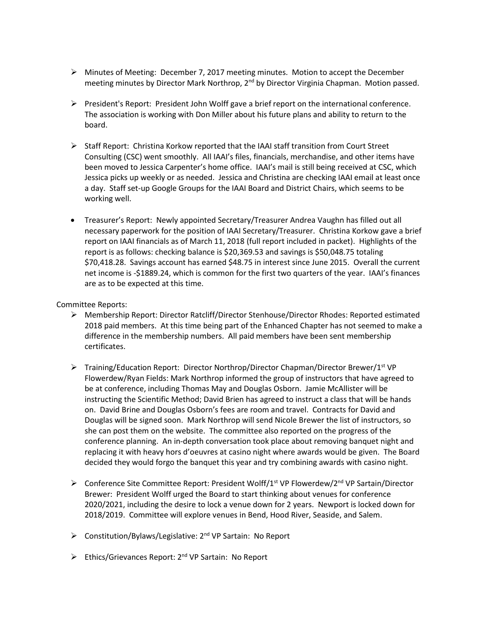- $\triangleright$  Minutes of Meeting: December 7, 2017 meeting minutes. Motion to accept the December meeting minutes by Director Mark Northrop, 2<sup>nd</sup> by Director Virginia Chapman. Motion passed.
- ➢ President's Report: President John Wolff gave a brief report on the international conference. The association is working with Don Miller about his future plans and ability to return to the board.
- ➢ Staff Report: Christina Korkow reported that the IAAI staff transition from Court Street Consulting (CSC) went smoothly. All IAAI's files, financials, merchandise, and other items have been moved to Jessica Carpenter's home office. IAAI's mail is still being received at CSC, which Jessica picks up weekly or as needed. Jessica and Christina are checking IAAI email at least once a day. Staff set-up Google Groups for the IAAI Board and District Chairs, which seems to be working well.
- Treasurer's Report: Newly appointed Secretary/Treasurer Andrea Vaughn has filled out all necessary paperwork for the position of IAAI Secretary/Treasurer. Christina Korkow gave a brief report on IAAI financials as of March 11, 2018 (full report included in packet). Highlights of the report is as follows: checking balance is \$20,369.53 and savings is \$50,048.75 totaling \$70,418.28. Savings account has earned \$48.75 in interest since June 2015. Overall the current net income is -\$1889.24, which is common for the first two quarters of the year. IAAI's finances are as to be expected at this time.

# Committee Reports:

- ➢ Membership Report: Director Ratcliff/Director Stenhouse/Director Rhodes: Reported estimated 2018 paid members. At this time being part of the Enhanced Chapter has not seemed to make a difference in the membership numbers. All paid members have been sent membership certificates.
- $\triangleright$  Training/Education Report: Director Northrop/Director Chapman/Director Brewer/1<sup>st</sup> VP Flowerdew/Ryan Fields: Mark Northrop informed the group of instructors that have agreed to be at conference, including Thomas May and Douglas Osborn. Jamie McAllister will be instructing the Scientific Method; David Brien has agreed to instruct a class that will be hands on. David Brine and Douglas Osborn's fees are room and travel. Contracts for David and Douglas will be signed soon. Mark Northrop will send Nicole Brewer the list of instructors, so she can post them on the website. The committee also reported on the progress of the conference planning. An in-depth conversation took place about removing banquet night and replacing it with heavy hors d'oeuvres at casino night where awards would be given. The Board decided they would forgo the banquet this year and try combining awards with casino night.
- $\triangleright$  Conference Site Committee Report: President Wolff/1<sup>st</sup> VP Flowerdew/2<sup>nd</sup> VP Sartain/Director Brewer: President Wolff urged the Board to start thinking about venues for conference 2020/2021, including the desire to lock a venue down for 2 years. Newport is locked down for 2018/2019. Committee will explore venues in Bend, Hood River, Seaside, and Salem.
- > Constitution/Bylaws/Legislative: 2<sup>nd</sup> VP Sartain: No Report
- ➢ Ethics/Grievances Report: 2 nd VP Sartain: No Report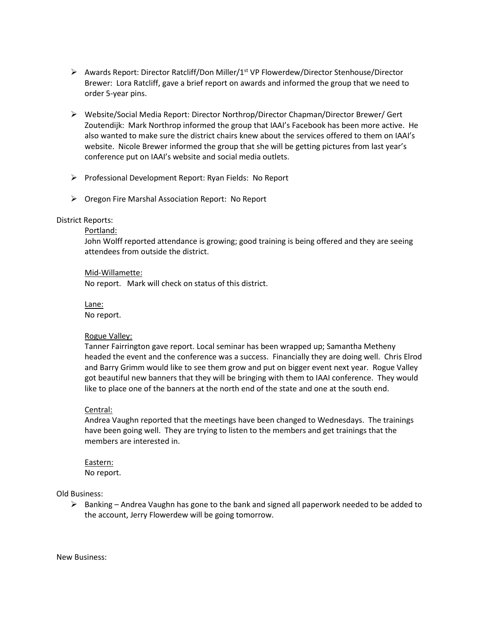- ➢ Awards Report: Director Ratcliff/Don Miller/1st VP Flowerdew/Director Stenhouse/Director Brewer: Lora Ratcliff, gave a brief report on awards and informed the group that we need to order 5-year pins.
- ➢ Website/Social Media Report: Director Northrop/Director Chapman/Director Brewer/ Gert Zoutendijk: Mark Northrop informed the group that IAAI's Facebook has been more active. He also wanted to make sure the district chairs knew about the services offered to them on IAAI's website. Nicole Brewer informed the group that she will be getting pictures from last year's conference put on IAAI's website and social media outlets.
- ➢ Professional Development Report: Ryan Fields: No Report
- ➢ Oregon Fire Marshal Association Report: No Report

### District Reports:

### Portland:

John Wolff reported attendance is growing; good training is being offered and they are seeing attendees from outside the district.

#### Mid-Willamette:

No report. Mark will check on status of this district.

Lane:

No report.

### Rogue Valley:

Tanner Fairrington gave report. Local seminar has been wrapped up; Samantha Metheny headed the event and the conference was a success. Financially they are doing well. Chris Elrod and Barry Grimm would like to see them grow and put on bigger event next year. Rogue Valley got beautiful new banners that they will be bringing with them to IAAI conference. They would like to place one of the banners at the north end of the state and one at the south end.

### Central:

Andrea Vaughn reported that the meetings have been changed to Wednesdays. The trainings have been going well. They are trying to listen to the members and get trainings that the members are interested in.

### Eastern: No report.

Old Business:

➢ Banking – Andrea Vaughn has gone to the bank and signed all paperwork needed to be added to the account, Jerry Flowerdew will be going tomorrow.

New Business: